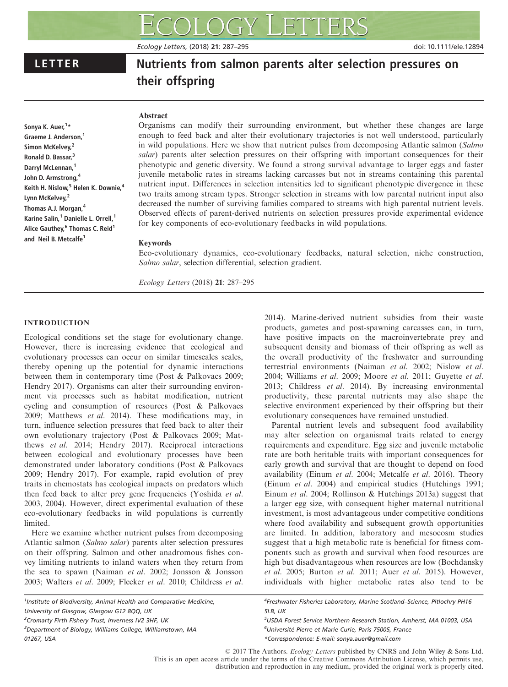# LETTER Nutrients from salmon parents alter selection pressures on their offspring

# Abstract

Sonya K. Auer,<sup>1</sup>\* Graeme J. Anderson,<sup>1</sup> Simon McKelvey,<sup>2</sup> Ronald D. Bassar,<sup>3</sup> Darryl McLennan,<sup>1</sup> John D. Armstrong,<sup>4</sup> Keith H. Nislow,<sup>5</sup> Helen K. Downie.<sup>4</sup> Lynn McKelvey,<sup>2</sup> Thomas A.J. Morgan, 4 Karine Salin,<sup>1</sup> Danielle L. Orrell,<sup>1</sup> Alice Gauthey, <sup>6</sup> Thomas C. Reid<sup>1</sup> and Neil B. Metcalfe<sup>1</sup>

Organisms can modify their surrounding environment, but whether these changes are large enough to feed back and alter their evolutionary trajectories is not well understood, particularly in wild populations. Here we show that nutrient pulses from decomposing Atlantic salmon (Salmo salar) parents alter selection pressures on their offspring with important consequences for their phenotypic and genetic diversity. We found a strong survival advantage to larger eggs and faster juvenile metabolic rates in streams lacking carcasses but not in streams containing this parental nutrient input. Differences in selection intensities led to significant phenotypic divergence in these two traits among stream types. Stronger selection in streams with low parental nutrient input also decreased the number of surviving families compared to streams with high parental nutrient levels. Observed effects of parent-derived nutrients on selection pressures provide experimental evidence for key components of eco-evolutionary feedbacks in wild populations.

# Keywords

Eco-evolutionary dynamics, eco-evolutionary feedbacks, natural selection, niche construction, Salmo salar, selection differential, selection gradient.

Ecology Letters (2018) 21: 287–295

# INTRODUCTION

Ecological conditions set the stage for evolutionary change. However, there is increasing evidence that ecological and evolutionary processes can occur on similar timescales scales, thereby opening up the potential for dynamic interactions between them in contemporary time (Post & Palkovacs 2009; Hendry 2017). Organisms can alter their surrounding environment via processes such as habitat modification, nutrient cycling and consumption of resources (Post & Palkovacs 2009; Matthews et al. 2014). These modifications may, in turn, influence selection pressures that feed back to alter their own evolutionary trajectory (Post & Palkovacs 2009; Matthews et al. 2014; Hendry 2017). Reciprocal interactions between ecological and evolutionary processes have been demonstrated under laboratory conditions (Post & Palkovacs 2009; Hendry 2017). For example, rapid evolution of prey traits in chemostats has ecological impacts on predators which then feed back to alter prey gene frequencies (Yoshida et al. 2003, 2004). However, direct experimental evaluation of these eco-evolutionary feedbacks in wild populations is currently limited.

Here we examine whether nutrient pulses from decomposing Atlantic salmon (Salmo salar) parents alter selection pressures on their offspring. Salmon and other anadromous fishes convey limiting nutrients to inland waters when they return from the sea to spawn (Naiman et al. 2002; Jonsson & Jonsson 2003; Walters et al. 2009; Flecker et al. 2010; Childress et al.

2014). Marine-derived nutrient subsidies from their waste

Parental nutrient levels and subsequent food availability may alter selection on organismal traits related to energy requirements and expenditure. Egg size and juvenile metabolic rate are both heritable traits with important consequences for early growth and survival that are thought to depend on food availability (Einum et al. 2004; Metcalfe et al. 2016). Theory (Einum et al. 2004) and empirical studies (Hutchings 1991; Einum et al. 2004; Rollinson & Hutchings 2013a) suggest that a larger egg size, with consequent higher maternal nutritional investment, is most advantageous under competitive conditions where food availability and subsequent growth opportunities are limited. In addition, laboratory and mesocosm studies suggest that a high metabolic rate is beneficial for fitness components such as growth and survival when food resources are high but disadvantageous when resources are low (Bochdansky et al. 2005; Burton et al. 2011; Auer et al. 2015). However, individuals with higher metabolic rates also tend to be

5 USDA Forest Service Northern Research Station, Amherst, MA 01003, USA <sup>6</sup>Université Pierre et Marie Curie, Paris 75005, France \*Correspondence: E-mail: sonya.auer@gmail.com

© 2017 The Authors. Ecology Letters published by CNRS and John Wiley & Sons Ltd. This is an open access article under the terms of the [Creative Commons Attribution](http://creativecommons.org/licenses/by/4.0/) License, which permits use, distribution and reproduction in any medium, provided the original work is properly cited.

<sup>3</sup>Department of Biology, Williams College, Williamstown, MA 01267, USA

products, gametes and post-spawning carcasses can, in turn, have positive impacts on the macroinvertebrate prey and subsequent density and biomass of their offspring as well as the overall productivity of the freshwater and surrounding terrestrial environments (Naiman et al. 2002; Nislow et al. 2004; Williams et al. 2009; Moore et al. 2011; Guyette et al. 2013; Childress et al. 2014). By increasing environmental productivity, these parental nutrients may also shape the selective environment experienced by their offspring but their evolutionary consequences have remained unstudied.

<sup>&</sup>lt;sup>4</sup>Freshwater Fisheries Laboratory, Marine Scotland-Science, Pitlochry PH16 5LB, UK

<sup>&</sup>lt;sup>1</sup>Institute of Biodiversity, Animal Health and Comparative Medicine, University of Glasgow, Glasgow G12 8QQ, UK <sup>2</sup> Cromarty Firth Fishery Trust, Inverness IV2 3HF, UK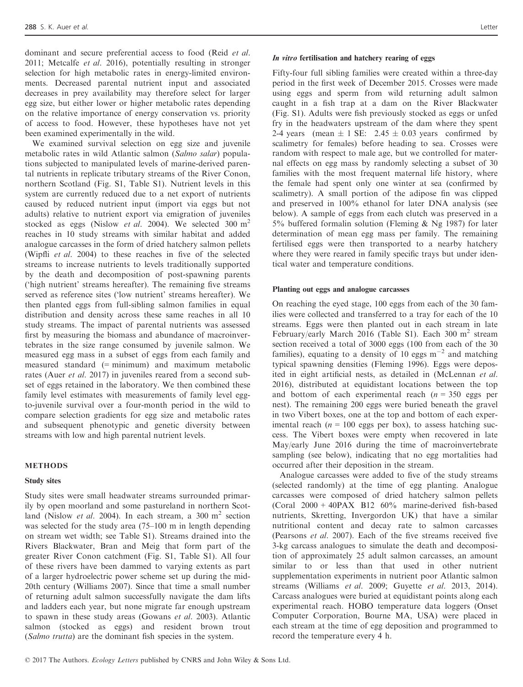dominant and secure preferential access to food (Reid et al. 2011; Metcalfe et al. 2016), potentially resulting in stronger selection for high metabolic rates in energy-limited environments. Decreased parental nutrient input and associated decreases in prey availability may therefore select for larger egg size, but either lower or higher metabolic rates depending on the relative importance of energy conservation vs. priority of access to food. However, these hypotheses have not yet been examined experimentally in the wild.

We examined survival selection on egg size and juvenile metabolic rates in wild Atlantic salmon (Salmo salar) populations subjected to manipulated levels of marine-derived parental nutrients in replicate tributary streams of the River Conon, northern Scotland (Fig. S1, Table S1). Nutrient levels in this system are currently reduced due to a net export of nutrients caused by reduced nutrient input (import via eggs but not adults) relative to nutrient export via emigration of juveniles stocked as eggs (Nislow *et al.* 2004). We selected 300  $m<sup>2</sup>$ reaches in 10 study streams with similar habitat and added analogue carcasses in the form of dried hatchery salmon pellets (Wipfli et al. 2004) to these reaches in five of the selected streams to increase nutrients to levels traditionally supported by the death and decomposition of post-spawning parents ('high nutrient' streams hereafter). The remaining five streams served as reference sites ('low nutrient' streams hereafter). We then planted eggs from full-sibling salmon families in equal distribution and density across these same reaches in all 10 study streams. The impact of parental nutrients was assessed first by measuring the biomass and abundance of macroinvertebrates in the size range consumed by juvenile salmon. We measured egg mass in a subset of eggs from each family and measured standard (= minimum) and maximum metabolic rates (Auer *et al.* 2017) in juveniles reared from a second subset of eggs retained in the laboratory. We then combined these family level estimates with measurements of family level eggto-juvenile survival over a four-month period in the wild to compare selection gradients for egg size and metabolic rates and subsequent phenotypic and genetic diversity between streams with low and high parental nutrient levels.

#### METHODS

#### Study sites

Study sites were small headwater streams surrounded primarily by open moorland and some pastureland in northern Scotland (Nislow *et al.* 2004). In each stream, a 300 m<sup>2</sup> section was selected for the study area (75–100 m in length depending on stream wet width; see Table S1). Streams drained into the Rivers Blackwater, Bran and Meig that form part of the greater River Conon catchment (Fig. S1, Table S1). All four of these rivers have been dammed to varying extents as part of a larger hydroelectric power scheme set up during the mid-20th century (Williams 2007). Since that time a small number of returning adult salmon successfully navigate the dam lifts and ladders each year, but none migrate far enough upstream to spawn in these study areas (Gowans et al. 2003). Atlantic salmon (stocked as eggs) and resident brown trout (Salmo trutta) are the dominant fish species in the system.

## In vitro fertilisation and hatchery rearing of eggs

Fifty-four full sibling families were created within a three-day period in the first week of December 2015. Crosses were made using eggs and sperm from wild returning adult salmon caught in a fish trap at a dam on the River Blackwater (Fig. S1). Adults were fish previously stocked as eggs or unfed fry in the headwaters upstream of the dam where they spent 2-4 years (mean  $\pm$  1 SE: 2.45  $\pm$  0.03 years confirmed by scalimetry for females) before heading to sea. Crosses were random with respect to male age, but we controlled for maternal effects on egg mass by randomly selecting a subset of 30 families with the most frequent maternal life history, where the female had spent only one winter at sea (confirmed by scalimetry). A small portion of the adipose fin was clipped and preserved in 100% ethanol for later DNA analysis (see below). A sample of eggs from each clutch was preserved in a 5% buffered formalin solution (Fleming & Ng 1987) for later determination of mean egg mass per family. The remaining fertilised eggs were then transported to a nearby hatchery where they were reared in family specific trays but under identical water and temperature conditions.

#### Planting out eggs and analogue carcasses

On reaching the eyed stage, 100 eggs from each of the 30 families were collected and transferred to a tray for each of the 10 streams. Eggs were then planted out in each stream in late February/early March 2016 (Table S1). Each 300  $m^2$  stream section received a total of 3000 eggs (100 from each of the 30 families), equating to a density of 10 eggs  $m^{-2}$  and matching typical spawning densities (Fleming 1996). Eggs were deposited in eight artificial nests, as detailed in (McLennan et al. 2016), distributed at equidistant locations between the top and bottom of each experimental reach  $(n = 350 \text{ eggs per})$ nest). The remaining 200 eggs were buried beneath the gravel in two Vibert boxes, one at the top and bottom of each experimental reach ( $n = 100$  eggs per box), to assess hatching success. The Vibert boxes were empty when recovered in late May/early June 2016 during the time of macroinvertebrate sampling (see below), indicating that no egg mortalities had occurred after their deposition in the stream.

Analogue carcasses were added to five of the study streams (selected randomly) at the time of egg planting. Analogue carcasses were composed of dried hatchery salmon pellets (Coral 2000 + 40PAX B12 60% marine-derived fish-based nutrients, Skretting, Invergordon UK) that have a similar nutritional content and decay rate to salmon carcasses (Pearsons et al. 2007). Each of the five streams received five 3-kg carcass analogues to simulate the death and decomposition of approximately 25 adult salmon carcasses, an amount similar to or less than that used in other nutrient supplementation experiments in nutrient poor Atlantic salmon streams (Williams et al. 2009; Guyette et al. 2013, 2014). Carcass analogues were buried at equidistant points along each experimental reach. HOBO temperature data loggers (Onset Computer Corporation, Bourne MA, USA) were placed in each stream at the time of egg deposition and programmed to record the temperature every 4 h.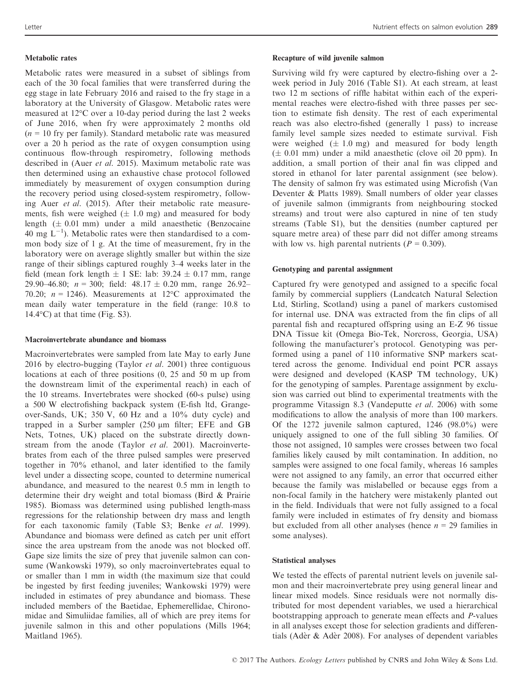### Metabolic rates

Metabolic rates were measured in a subset of siblings from each of the 30 focal families that were transferred during the egg stage in late February 2016 and raised to the fry stage in a laboratory at the University of Glasgow. Metabolic rates were measured at 12°C over a 10-day period during the last 2 weeks of June 2016, when fry were approximately 2 months old  $(n = 10$  fry per family). Standard metabolic rate was measured over a 20 h period as the rate of oxygen consumption using continuous flow-through respirometry, following methods described in (Auer et al. 2015). Maximum metabolic rate was then determined using an exhaustive chase protocol followed immediately by measurement of oxygen consumption during the recovery period using closed-system respirometry, following Auer et al. (2015). After their metabolic rate measurements, fish were weighed  $(\pm 1.0 \text{ mg})$  and measured for body length  $(\pm 0.01 \text{ mm})$  under a mild anaesthetic (Benzocaine 40 mg  $L^{-1}$ ). Metabolic rates were then standardised to a common body size of 1 g. At the time of measurement, fry in the laboratory were on average slightly smaller but within the size range of their siblings captured roughly 3–4 weeks later in the field (mean fork length  $\pm$  1 SE: lab: 39.24  $\pm$  0.17 mm, range 29.90–46.80;  $n = 300$ ; field:  $48.17 \pm 0.20$  mm, range 26.92– 70.20;  $n = 1246$ ). Measurements at 12°C approximated the mean daily water temperature in the field (range: 10.8 to  $14.4$ °C) at that time (Fig. S3).

#### Macroinvertebrate abundance and biomass

Macroinvertebrates were sampled from late May to early June 2016 by electro-bugging (Taylor *et al.* 2001) three contiguous locations at each of three positions (0, 25 and 50 m up from the downstream limit of the experimental reach) in each of the 10 streams. Invertebrates were shocked (60-s pulse) using a 500 W electrofishing backpack system (E-fish ltd, Grangeover-Sands, UK; 350 V, 60 Hz and a 10% duty cycle) and trapped in a Surber sampler  $(250 \mu m)$  filter; EFE and GB Nets, Totnes, UK) placed on the substrate directly downstream from the anode (Taylor et al. 2001). Macroinvertebrates from each of the three pulsed samples were preserved together in 70% ethanol, and later identified to the family level under a dissecting scope, counted to determine numerical abundance, and measured to the nearest 0.5 mm in length to determine their dry weight and total biomass (Bird & Prairie 1985). Biomass was determined using published length-mass regressions for the relationship between dry mass and length for each taxonomic family (Table S3; Benke et al. 1999). Abundance and biomass were defined as catch per unit effort since the area upstream from the anode was not blocked off. Gape size limits the size of prey that juvenile salmon can consume (Wankowski 1979), so only macroinvertebrates equal to or smaller than 1 mm in width (the maximum size that could be ingested by first feeding juveniles; Wankowski 1979) were included in estimates of prey abundance and biomass. These included members of the Baetidae, Ephemerellidae, Chironomidae and Simuliidae families, all of which are prey items for juvenile salmon in this and other populations (Mills 1964; Maitland 1965).

### Recapture of wild juvenile salmon

Surviving wild fry were captured by electro-fishing over a 2 week period in July 2016 (Table S1). At each stream, at least two 12 m sections of riffle habitat within each of the experimental reaches were electro-fished with three passes per section to estimate fish density. The rest of each experimental reach was also electro-fished (generally 1 pass) to increase family level sample sizes needed to estimate survival. Fish were weighed  $(\pm 1.0 \text{ mg})$  and measured for body length  $(\pm 0.01 \text{ mm})$  under a mild anaesthetic (clove oil 20 ppm). In addition, a small portion of their anal fin was clipped and stored in ethanol for later parental assignment (see below). The density of salmon fry was estimated using Microfish (Van Deventer & Platts 1989). Small numbers of older year classes of juvenile salmon (immigrants from neighbouring stocked streams) and trout were also captured in nine of ten study streams (Table S1), but the densities (number captured per square metre area) of these parr did not differ among streams with low vs. high parental nutrients ( $P = 0.309$ ).

### Genotyping and parental assignment

Captured fry were genotyped and assigned to a specific focal family by commercial suppliers (Landcatch Natural Selection Ltd, Stirling, Scotland) using a panel of markers customised for internal use. DNA was extracted from the fin clips of all parental fish and recaptured offspring using an E-Z 96 tissue DNA Tissue kit (Omega Bio-Tek, Norcross, Georgia, USA) following the manufacturer's protocol. Genotyping was performed using a panel of 110 informative SNP markers scattered across the genome. Individual end point PCR assays were designed and developed (KASP TM technology, UK) for the genotyping of samples. Parentage assignment by exclusion was carried out blind to experimental treatments with the programme Vitassign 8.3 (Vandeputte et al. 2006) with some modifications to allow the analysis of more than 100 markers. Of the 1272 juvenile salmon captured, 1246 (98.0%) were uniquely assigned to one of the full sibling 30 families. Of those not assigned, 10 samples were crosses between two focal families likely caused by milt contamination. In addition, no samples were assigned to one focal family, whereas 16 samples were not assigned to any family, an error that occurred either because the family was mislabelled or because eggs from a non-focal family in the hatchery were mistakenly planted out in the field. Individuals that were not fully assigned to a focal family were included in estimates of fry density and biomass but excluded from all other analyses (hence  $n = 29$  families in some analyses).

#### Statistical analyses

We tested the effects of parental nutrient levels on juvenile salmon and their macroinvertebrate prey using general linear and linear mixed models. Since residuals were not normally distributed for most dependent variables, we used a hierarchical bootstrapping approach to generate mean effects and P-values in all analyses except those for selection gradients and differentials (Ader & Ader 2008). For analyses of dependent variables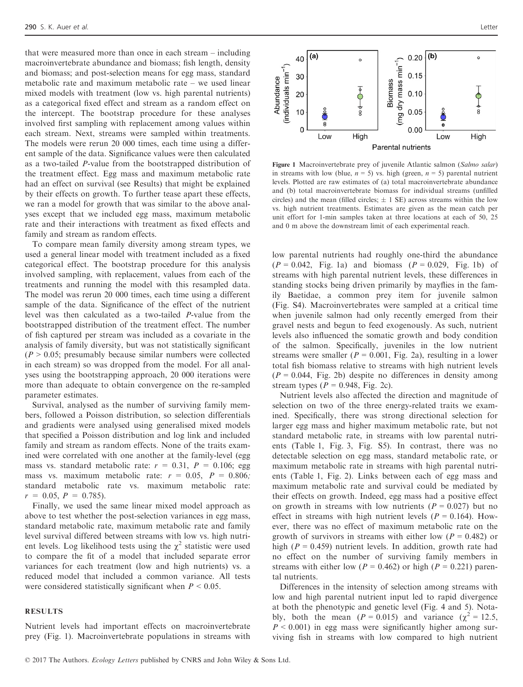that were measured more than once in each stream – including macroinvertebrate abundance and biomass; fish length, density and biomass; and post-selection means for egg mass, standard metabolic rate and maximum metabolic rate – we used linear mixed models with treatment (low vs. high parental nutrients) as a categorical fixed effect and stream as a random effect on the intercept. The bootstrap procedure for these analyses involved first sampling with replacement among values within each stream. Next, streams were sampled within treatments. The models were rerun 20 000 times, each time using a different sample of the data. Significance values were then calculated as a two-tailed P-value from the bootstrapped distribution of the treatment effect. Egg mass and maximum metabolic rate had an effect on survival (see Results) that might be explained by their effects on growth. To further tease apart these effects, we ran a model for growth that was similar to the above analyses except that we included egg mass, maximum metabolic rate and their interactions with treatment as fixed effects and family and stream as random effects.

To compare mean family diversity among stream types, we used a general linear model with treatment included as a fixed categorical effect. The bootstrap procedure for this analysis involved sampling, with replacement, values from each of the treatments and running the model with this resampled data. The model was rerun 20 000 times, each time using a different sample of the data. Significance of the effect of the nutrient level was then calculated as a two-tailed P-value from the bootstrapped distribution of the treatment effect. The number of fish captured per stream was included as a covariate in the analysis of family diversity, but was not statistically significant  $(P > 0.05$ ; presumably because similar numbers were collected in each stream) so was dropped from the model. For all analyses using the bootstrapping approach, 20 000 iterations were more than adequate to obtain convergence on the re-sampled parameter estimates.

Survival, analysed as the number of surviving family members, followed a Poisson distribution, so selection differentials and gradients were analysed using generalised mixed models that specified a Poisson distribution and log link and included family and stream as random effects. None of the traits examined were correlated with one another at the family-level (egg mass vs. standard metabolic rate:  $r = 0.31$ ,  $P = 0.106$ ; egg mass vs. maximum metabolic rate:  $r = 0.05$ ,  $P = 0.806$ ; standard metabolic rate vs. maximum metabolic rate:  $r = 0.05, P = 0.785$ .

Finally, we used the same linear mixed model approach as above to test whether the post-selection variances in egg mass, standard metabolic rate, maximum metabolic rate and family level survival differed between streams with low vs. high nutrient levels. Log likelihood tests using the  $\chi^2$  statistic were used to compare the fit of a model that included separate error variances for each treatment (low and high nutrients) vs. a reduced model that included a common variance. All tests were considered statistically significant when  $P \leq 0.05$ .

### RESULTS

Nutrient levels had important effects on macroinvertebrate prey (Fig. 1). Macroinvertebrate populations in streams with



Figure 1 Macroinvertebrate prey of juvenile Atlantic salmon (Salmo salar) in streams with low (blue,  $n = 5$ ) vs. high (green,  $n = 5$ ) parental nutrient levels. Plotted are raw estimates of (a) total macroinvertebrate abundance and (b) total macroinvertebrate biomass for individual streams (unfilled circles) and the mean (filled circles:  $+1$  SE) across streams within the low vs. high nutrient treatments. Estimates are given as the mean catch per unit effort for 1-min samples taken at three locations at each of 50, 25 and 0 m above the downstream limit of each experimental reach.

low parental nutrients had roughly one-third the abundance  $(P = 0.042,$  Fig. 1a) and biomass  $(P = 0.029,$  Fig. 1b) of streams with high parental nutrient levels, these differences in standing stocks being driven primarily by mayflies in the family Baetidae, a common prey item for juvenile salmon (Fig. S4). Macroinvertebrates were sampled at a critical time when juvenile salmon had only recently emerged from their gravel nests and begun to feed exogenously. As such, nutrient levels also influenced the somatic growth and body condition of the salmon. Specifically, juveniles in the low nutrient streams were smaller ( $P = 0.001$ , Fig. 2a), resulting in a lower total fish biomass relative to streams with high nutrient levels  $(P = 0.044,$  Fig. 2b) despite no differences in density among stream types ( $P = 0.948$ , Fig. 2c).

Nutrient levels also affected the direction and magnitude of selection on two of the three energy-related traits we examined. Specifically, there was strong directional selection for larger egg mass and higher maximum metabolic rate, but not standard metabolic rate, in streams with low parental nutrients (Table 1, Fig. 3, Fig. S5). In contrast, there was no detectable selection on egg mass, standard metabolic rate, or maximum metabolic rate in streams with high parental nutrients (Table 1, Fig. 2). Links between each of egg mass and maximum metabolic rate and survival could be mediated by their effects on growth. Indeed, egg mass had a positive effect on growth in streams with low nutrients  $(P = 0.027)$  but no effect in streams with high nutrient levels ( $P = 0.164$ ). However, there was no effect of maximum metabolic rate on the growth of survivors in streams with either low  $(P = 0.482)$  or high ( $P = 0.459$ ) nutrient levels. In addition, growth rate had no effect on the number of surviving family members in streams with either low ( $P = 0.462$ ) or high ( $P = 0.221$ ) parental nutrients.

Differences in the intensity of selection among streams with low and high parental nutrient input led to rapid divergence at both the phenotypic and genetic level (Fig. 4 and 5). Notably, both the mean ( $P = 0.015$ ) and variance ( $\chi^2 = 12.5$ ,  $P < 0.001$ ) in egg mass were significantly higher among surviving fish in streams with low compared to high nutrient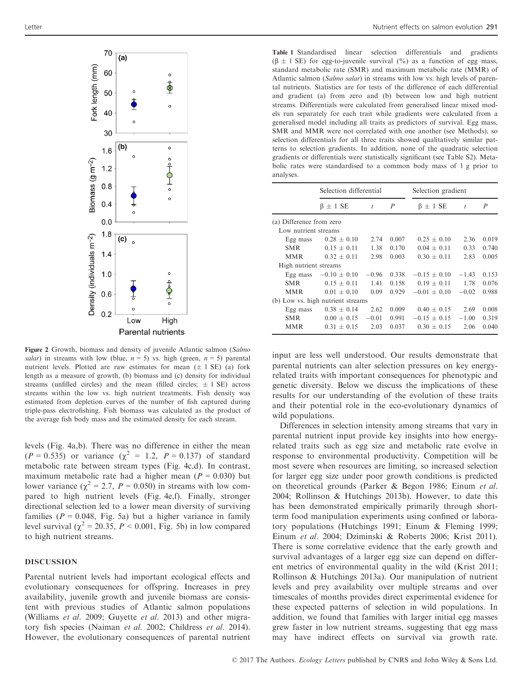

Figure 2 Growth, biomass and density of juvenile Atlantic salmon (Salmo salar) in streams with low (blue,  $n = 5$ ) vs. high (green,  $n = 5$ ) parental nutrient levels. Plotted are raw estimates for mean  $(\pm 1 \text{ SE})$  (a) fork length as a measure of growth, (b) biomass and (c) density for individual streams (unfilled circles) and the mean (filled circles;  $\pm$  1 SE) across streams within the low vs. high nutrient treatments. Fish density was estimated from depletion curves of the number of fish captured during triple-pass electrofishing. Fish biomass was calculated as the product of the average fish body mass and the estimated density for each stream.

levels (Fig. 4a,b). There was no difference in either the mean ( $P = 0.535$ ) or variance ( $\chi^2 = 1.2$ ,  $P = 0.137$ ) of standard metabolic rate between stream types (Fig. 4c,d). In contrast, maximum metabolic rate had a higher mean ( $P = 0.030$ ) but lower variance ( $\chi^2 = 2.7$ ,  $P = 0.050$ ) in streams with low compared to high nutrient levels (Fig. 4e,f). Finally, stronger directional selection led to a lower mean diversity of surviving families ( $P = 0.048$ , Fig. 5a) but a higher variance in family level survival ( $\chi^2$  = 20.35, P < 0.001, Fig. 5b) in low compared to high nutrient streams.

# DISCUSSION

Parental nutrient levels had important ecological effects and evolutionary consequences for offspring. Increases in prey availability, juvenile growth and juvenile biomass are consistent with previous studies of Atlantic salmon populations (Williams et al. 2009; Guyette et al. 2013) and other migratory fish species (Naiman et al. 2002; Childress et al. 2014). However, the evolutionary consequences of parental nutrient

Table 1 Standardised linear selection differentials and gradients  $(\beta \pm 1 \text{ SE})$  for egg-to-juvenile survival  $(\%)$  as a function of egg mass, standard metabolic rate (SMR) and maximum metabolic rate (MMR) of Atlantic salmon (Salmo salar) in streams with low vs. high levels of parental nutrients. Statistics are for tests of the difference of each differential and gradient (a) from zero and (b) between low and high nutrient streams. Differentials were calculated from generalised linear mixed models run separately for each trait while gradients were calculated from a generalised model including all traits as predictors of survival. Egg mass, SMR and MMR were not correlated with one another (see Methods), so selection differentials for all three traits showed qualitatively similar patterns to selection gradients. In addition, none of the quadratic selection gradients or differentials were statistically significant (see Table S2). Metabolic rates were standardised to a common body mass of 1 g prior to analyses.

|                          | Selection differential            |         |                  | Selection gradient |                  |                  |
|--------------------------|-----------------------------------|---------|------------------|--------------------|------------------|------------------|
|                          | $\beta \pm 1$ SE                  | t       | $\boldsymbol{P}$ | $\beta \pm 1$ SE   | $\boldsymbol{t}$ | $\boldsymbol{P}$ |
| (a) Difference from zero |                                   |         |                  |                    |                  |                  |
| Low nutrient streams     |                                   |         |                  |                    |                  |                  |
| Egg mass                 | $0.28 \pm 0.10$                   | 2.74    | 0.007            | $0.25 + 0.10$      | 2.36             | 0.019            |
| <b>SMR</b>               | $0.15 + 0.11$                     | 1.38    | 0.170            | $0.04 + 0.11$      | 0.33             | 0.740            |
| <b>MMR</b>               | $0.32 + 0.11$                     | 2.98    | 0.003            | $0.30 \pm 0.11$    | 2.83             | 0.005            |
| High nutrient streams    |                                   |         |                  |                    |                  |                  |
| Egg mass                 | $-0.10 \pm 0.10$                  | $-0.96$ | 0.338            | $-0.15 + 0.10$     | $-1.43$          | 0.153            |
| <b>SMR</b>               | $0.15 + 0.11$                     | 1.41    | 0.158            | $0.19 \pm 0.11$    | 1.78             | 0.076            |
| <b>MMR</b>               | $0.01 + 0.10$                     | 0.09    | 0.929            | $-0.01 + 0.10$     | $-0.02$          | 0.988            |
|                          | (b) Low vs. high nutrient streams |         |                  |                    |                  |                  |
| Egg mass                 | $0.38 \pm 0.14$                   | 2.62    | 0.009            | $0.40 + 0.15$      | 2.69             | 0.008            |
| <b>SMR</b>               | $0.00 \pm 0.15$                   | $-0.01$ | 0.991            | $-0.15 \pm 0.15$   | $-1.00$          | 0.319            |
| <b>MMR</b>               | $0.31 + 0.15$                     | 2.03    | 0.037            | $0.30 + 0.15$      | 2.06             | 0.040            |
|                          |                                   |         |                  |                    |                  |                  |

input are less well understood. Our results demonstrate that parental nutrients can alter selection pressures on key energyrelated traits with important consequences for phenotypic and genetic diversity. Below we discuss the implications of these results for our understanding of the evolution of these traits and their potential role in the eco-evolutionary dynamics of wild populations.

Differences in selection intensity among streams that vary in parental nutrient input provide key insights into how energyrelated traits such as egg size and metabolic rate evolve in response to environmental productivity. Competition will be most severe when resources are limiting, so increased selection for larger egg size under poor growth conditions is predicted on theoretical grounds (Parker & Begon 1986; Einum et al. 2004; Rollinson & Hutchings 2013b). However, to date this has been demonstrated empirically primarily through shortterm food manipulation experiments using confined or laboratory populations (Hutchings 1991; Einum & Fleming 1999; Einum et al. 2004; Dziminski & Roberts 2006; Krist 2011). There is some correlative evidence that the early growth and survival advantages of a larger egg size can depend on different metrics of environmental quality in the wild (Krist 2011; Rollinson & Hutchings 2013a). Our manipulation of nutrient levels and prey availability over multiple streams and over timescales of months provides direct experimental evidence for these expected patterns of selection in wild populations. In addition, we found that families with larger initial egg masses grew faster in low nutrient streams, suggesting that egg mass may have indirect effects on survival via growth rate.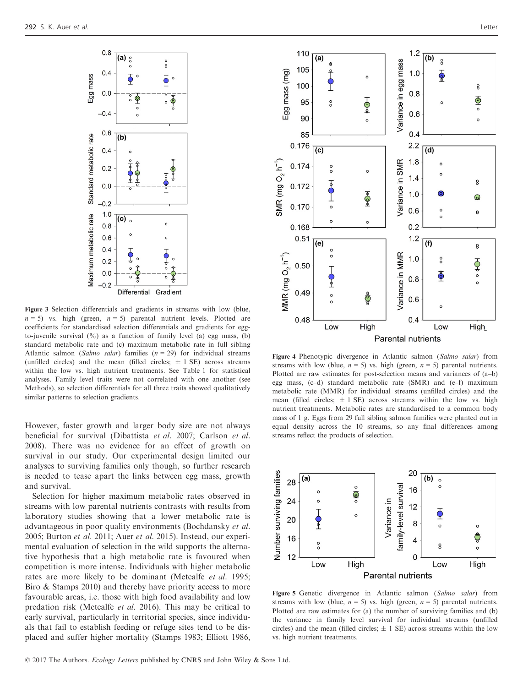

Figure 3 Selection differentials and gradients in streams with low (blue,  $n = 5$ ) vs. high (green,  $n = 5$ ) parental nutrient levels. Plotted are coefficients for standardised selection differentials and gradients for eggto-juvenile survival  $(\%)$  as a function of family level (a) egg mass, (b) standard metabolic rate and (c) maximum metabolic rate in full sibling Atlantic salmon (Salmo salar) families  $(n = 29)$  for individual streams (unfilled circles) and the mean (filled circles;  $\pm$  1 SE) across streams within the low vs. high nutrient treatments. See Table 1 for statistical analyses. Family level traits were not correlated with one another (see Methods), so selection differentials for all three traits showed qualitatively similar patterns to selection gradients.

However, faster growth and larger body size are not always beneficial for survival (Dibattista et al. 2007; Carlson et al. 2008). There was no evidence for an effect of growth on survival in our study. Our experimental design limited our analyses to surviving families only though, so further research is needed to tease apart the links between egg mass, growth and survival.

Selection for higher maximum metabolic rates observed in streams with low parental nutrients contrasts with results from laboratory studies showing that a lower metabolic rate is advantageous in poor quality environments (Bochdansky et al. 2005; Burton et al. 2011; Auer et al. 2015). Instead, our experimental evaluation of selection in the wild supports the alternative hypothesis that a high metabolic rate is favoured when competition is more intense. Individuals with higher metabolic rates are more likely to be dominant (Metcalfe et al. 1995; Biro & Stamps 2010) and thereby have priority access to more favourable areas, i.e. those with high food availability and low predation risk (Metcalfe et al. 2016). This may be critical to early survival, particularly in territorial species, since individuals that fail to establish feeding or refuge sites tend to be displaced and suffer higher mortality (Stamps 1983; Elliott 1986,



Figure 4 Phenotypic divergence in Atlantic salmon (Salmo salar) from streams with low (blue,  $n = 5$ ) vs. high (green,  $n = 5$ ) parental nutrients. Plotted are raw estimates for post-selection means and variances of (a–b) egg mass, (c–d) standard metabolic rate (SMR) and (e–f) maximum metabolic rate (MMR) for individual streams (unfilled circles) and the mean (filled circles;  $\pm$  1 SE) across streams within the low vs. high nutrient treatments. Metabolic rates are standardised to a common body mass of 1 g. Eggs from 29 full sibling salmon families were planted out in equal density across the 10 streams, so any final differences among streams reflect the products of selection.



Figure 5 Genetic divergence in Atlantic salmon (Salmo salar) from streams with low (blue,  $n = 5$ ) vs. high (green,  $n = 5$ ) parental nutrients. Plotted are raw estimates for (a) the number of surviving families and (b) the variance in family level survival for individual streams (unfilled circles) and the mean (filled circles;  $\pm$  1 SE) across streams within the low vs. high nutrient treatments.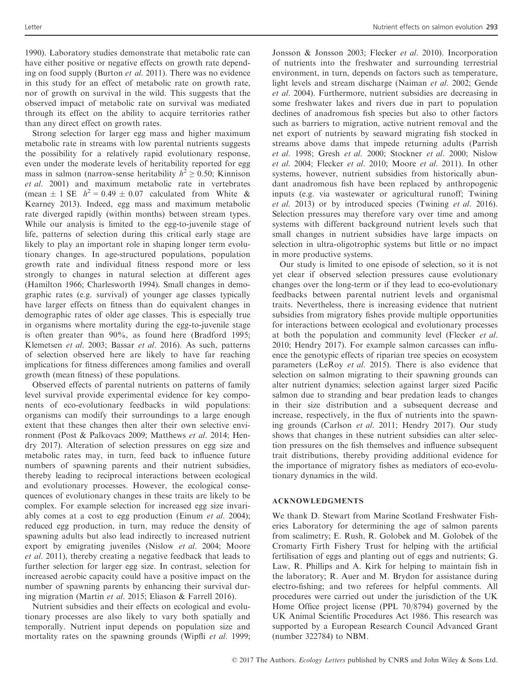1990). Laboratory studies demonstrate that metabolic rate can have either positive or negative effects on growth rate depending on food supply (Burton *et al.* 2011). There was no evidence in this study for an effect of metabolic rate on growth rate, nor of growth on survival in the wild. This suggests that the observed impact of metabolic rate on survival was mediated through its effect on the ability to acquire territories rather than any direct effect on growth rates.

Strong selection for larger egg mass and higher maximum metabolic rate in streams with low parental nutrients suggests the possibility for a relatively rapid evolutionary response, even under the moderate levels of heritability reported for egg mass in salmon (narrow-sense heritability  $h^2 \ge 0.50$ ; Kinnison et al. 2001) and maximum metabolic rate in vertebrates (mean  $\pm$  1 SE  $h^2$  = 0.49  $\pm$  0.07 calculated from White & Kearney 2013). Indeed, egg mass and maximum metabolic rate diverged rapidly (within months) between stream types. While our analysis is limited to the egg-to-juvenile stage of life, patterns of selection during this critical early stage are likely to play an important role in shaping longer term evolutionary changes. In age-structured populations, population growth rate and individual fitness respond more or less strongly to changes in natural selection at different ages (Hamilton 1966; Charlesworth 1994). Small changes in demographic rates (e.g. survival) of younger age classes typically have larger effects on fitness than do equivalent changes in demographic rates of older age classes. This is especially true in organisms where mortality during the egg-to-juvenile stage is often greater than 90%, as found here (Bradford 1995; Klemetsen et al. 2003; Bassar et al. 2016). As such, patterns of selection observed here are likely to have far reaching implications for fitness differences among families and overall growth (mean fitness) of these populations.

Observed effects of parental nutrients on patterns of family level survival provide experimental evidence for key components of eco-evolutionary feedbacks in wild populations: organisms can modify their surroundings to a large enough extent that these changes then alter their own selective environment (Post & Palkovacs 2009; Matthews et al. 2014; Hendry 2017). Alteration of selection pressures on egg size and metabolic rates may, in turn, feed back to influence future numbers of spawning parents and their nutrient subsidies, thereby leading to reciprocal interactions between ecological and evolutionary processes. However, the ecological consequences of evolutionary changes in these traits are likely to be complex. For example selection for increased egg size invariably comes at a cost to egg production (Einum et al. 2004); reduced egg production, in turn, may reduce the density of spawning adults but also lead indirectly to increased nutrient export by emigrating juveniles (Nislow et al. 2004; Moore et al. 2011), thereby creating a negative feedback that leads to further selection for larger egg size. In contrast, selection for increased aerobic capacity could have a positive impact on the number of spawning parents by enhancing their survival during migration (Martin et al. 2015; Eliason & Farrell 2016).

Nutrient subsidies and their effects on ecological and evolutionary processes are also likely to vary both spatially and temporally. Nutrient input depends on population size and mortality rates on the spawning grounds (Wipfli et al. 1999;

Jonsson & Jonsson 2003; Flecker et al. 2010). Incorporation of nutrients into the freshwater and surrounding terrestrial environment, in turn, depends on factors such as temperature, light levels and stream discharge (Naiman et al. 2002; Gende et al. 2004). Furthermore, nutrient subsidies are decreasing in some freshwater lakes and rivers due in part to population declines of anadromous fish species but also to other factors such as barriers to migration, active nutrient removal and the net export of nutrients by seaward migrating fish stocked in streams above dams that impede returning adults (Parrish et al. 1998; Gresh et al. 2000; Stockner et al. 2000; Nislow et al. 2004; Flecker et al. 2010; Moore et al. 2011). In other systems, however, nutrient subsidies from historically abundant anadromous fish have been replaced by anthropogenic inputs (e.g. via wastewater or agricultural runoff; Twining et al. 2013) or by introduced species (Twining et al. 2016). Selection pressures may therefore vary over time and among systems with different background nutrient levels such that small changes in nutrient subsidies have large impacts on selection in ultra-oligotrophic systems but little or no impact in more productive systems.

Our study is limited to one episode of selection, so it is not yet clear if observed selection pressures cause evolutionary changes over the long-term or if they lead to eco-evolutionary feedbacks between parental nutrient levels and organismal traits. Nevertheless, there is increasing evidence that nutrient subsidies from migratory fishes provide multiple opportunities for interactions between ecological and evolutionary processes at both the population and community level (Flecker et al. 2010; Hendry 2017). For example salmon carcasses can influence the genotypic effects of riparian tree species on ecosystem parameters (LeRoy et al. 2015). There is also evidence that selection on salmon migrating to their spawning grounds can alter nutrient dynamics; selection against larger sized Pacific salmon due to stranding and bear predation leads to changes in their size distribution and a subsequent decrease and increase, respectively, in the flux of nutrients into the spawning grounds (Carlson et al. 2011; Hendry 2017). Our study shows that changes in these nutrient subsidies can alter selection pressures on the fish themselves and influence subsequent trait distributions, thereby providing additional evidence for the importance of migratory fishes as mediators of eco-evolutionary dynamics in the wild.

#### ACKNOWLEDGMENTS

We thank D. Stewart from Marine Scotland Freshwater Fisheries Laboratory for determining the age of salmon parents from scalimetry; E. Rush, R. Golobek and M. Golobek of the Cromarty Firth Fishery Trust for helping with the artificial fertilisation of eggs and planting out of eggs and nutrients; G. Law, R. Phillips and A. Kirk for helping to maintain fish in the laboratory; R. Auer and M. Brydon for assistance during electro-fishing; and two referees for helpful comments. All procedures were carried out under the jurisdiction of the UK Home Office project license (PPL 70/8794) governed by the UK Animal Scientific Procedures Act 1986. This research was supported by a European Research Council Advanced Grant (number 322784) to NBM.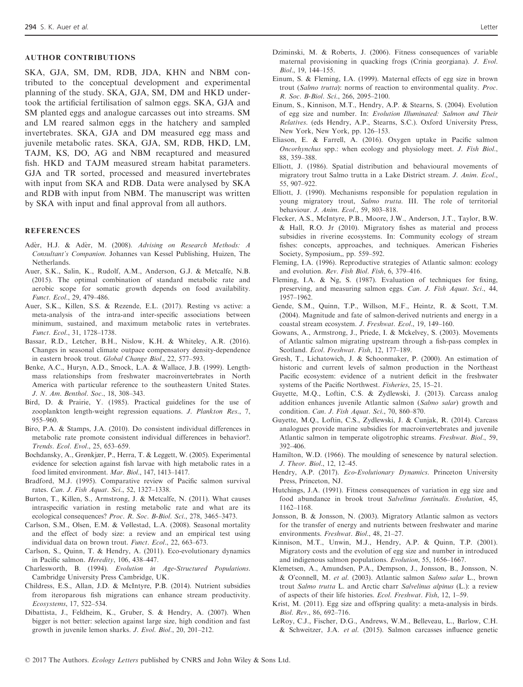### AUTHOR CONTRIBUTIONS

SKA, GJA, SM, DM, RDB, JDA, KHN and NBM contributed to the conceptual development and experimental planning of the study. SKA, GJA, SM, DM and HKD undertook the artificial fertilisation of salmon eggs. SKA, GJA and SM planted eggs and analogue carcasses out into streams. SM and LM reared salmon eggs in the hatchery and sampled invertebrates. SKA, GJA and DM measured egg mass and juvenile metabolic rates. SKA, GJA, SM, RDB, HKD, LM, TAJM, KS, DO, AG and NBM recaptured and measured fish. HKD and TAJM measured stream habitat parameters. GJA and TR sorted, processed and measured invertebrates with input from SKA and RDB. Data were analysed by SKA and RDB with input from NBM. The manuscript was written by SKA with input and final approval from all authors.

#### **REFERENCES**

- Ader, H.J. & Ader, M. (2008). Advising on Research Methods: A Consultant's Companion. Johannes van Kessel Publishing, Huizen, The Netherlands.
- Auer, S.K., Salin, K., Rudolf, A.M., Anderson, G.J. & Metcalfe, N.B. (2015). The optimal combination of standard metabolic rate and aerobic scope for somatic growth depends on food availability. Funct. Ecol., 29, 479–486.
- Auer, S.K., Killen, S.S. & Rezende, E.L. (2017). Resting vs active: a meta-analysis of the intra-and inter-specific associations between minimum, sustained, and maximum metabolic rates in vertebrates. Funct. Ecol., 31, 1728–1738.
- Bassar, R.D., Letcher, B.H., Nislow, K.H. & Whiteley, A.R. (2016). Changes in seasonal climate outpace compensatory density-dependence in eastern brook trout. Global Change Biol., 22, 577–593.
- Benke, A.C., Huryn, A.D., Smock, L.A. & Wallace, J.B. (1999). Lengthmass relationships from freshwater macroinvertebrates in North America with particular reference to the southeastern United States. J. N. Am. Benthol. Soc., 18, 308–343.
- Bird, D. & Prairie, Y. (1985). Practical guidelines for the use of zooplankton length-weight regression equations. J. Plankton Res., 7, 955–960.
- Biro, P.A. & Stamps, J.A. (2010). Do consistent individual differences in metabolic rate promote consistent individual differences in behavior?. Trends. Ecol. Evol., 25, 653–659.
- Bochdansky, A., Grønkjær, P., Herra, T. & Leggett, W. (2005). Experimental evidence for selection against fish larvae with high metabolic rates in a food limited environment. Mar. Biol., 147, 1413–1417.
- Bradford, M.J. (1995). Comparative review of Pacific salmon survival rates. Can. J. Fish Aquat. Sci., 52, 1327–1338.
- Burton, T., Killen, S., Armstrong, J. & Metcalfe, N. (2011). What causes intraspecific variation in resting metabolic rate and what are its ecological consequences? Proc. R. Soc. B-Biol. Sci., 278, 3465–3473.
- Carlson, S.M., Olsen, E.M. & Vøllestad, L.A. (2008). Seasonal mortality and the effect of body size: a review and an empirical test using individual data on brown trout. Funct. Ecol., 22, 663–673.
- Carlson, S., Quinn, T. & Hendry, A. (2011). Eco-evolutionary dynamics in Pacific salmon. Heredity, 106, 438–447.
- Charlesworth, B. (1994). Evolution in Age-Structured Populations. Cambridge University Press Cambridge, UK.
- Childress, E.S., Allan, J.D. & McIntyre, P.B. (2014). Nutrient subsidies from iteroparous fish migrations can enhance stream productivity. Ecosystems, 17, 522–534.
- Dibattista, J., Feldheim, K., Gruber, S. & Hendry, A. (2007). When bigger is not better: selection against large size, high condition and fast growth in juvenile lemon sharks. J. Evol. Biol., 20, 201–212.
- Dziminski, M. & Roberts, J. (2006). Fitness consequences of variable maternal provisioning in quacking frogs (Crinia georgiana). J. Evol. Biol., 19, 144–155.
- Einum, S. & Fleming, I.A. (1999). Maternal effects of egg size in brown trout (Salmo trutta): norms of reaction to environmental quality. Proc. R. Soc. B-Biol. Sci., 266, 2095–2100.
- Einum, S., Kinnison, M.T., Hendry, A.P. & Stearns, S. (2004). Evolution of egg size and number. In: Evolution Illuminated: Salmon and Their Relatives. (eds Hendry, A.P., Stearns, S.C.). Oxford University Press, New York, New York, pp. 126–153.
- Eliason, E. & Farrell, A. (2016). Oxygen uptake in Pacific salmon Oncorhynchus spp.: when ecology and physiology meet. J. Fish Biol., 88, 359–388.
- Elliott, J. (1986). Spatial distribution and behavioural movements of migratory trout Salmo trutta in a Lake District stream. J. Anim. Ecol., 55, 907–922.
- Elliott, J. (1990). Mechanisms responsible for population regulation in young migratory trout, Salmo trutta. III. The role of territorial behaviour. J. Anim. Ecol., 59, 803–818.
- Flecker, A.S., McIntyre, P.B., Moore, J.W., Anderson, J.T., Taylor, B.W. & Hall, R.O. Jr (2010). Migratory fishes as material and process subsidies in riverine ecosystems. In: Community ecology of stream fishes: concepts, approaches, and techniques. American Fisheries Society, Symposium,, pp. 559–592.
- Fleming, I.A. (1996). Reproductive strategies of Atlantic salmon: ecology and evolution. Rev. Fish Biol. Fish, 6, 379–416.
- Fleming, I.A. & Ng, S. (1987). Evaluation of techniques for fixing, preserving, and measuring salmon eggs. Can. J. Fish Aquat. Sci., 44, 1957–1962.
- Gende, S.M., Quinn, T.P., Willson, M.F., Heintz, R. & Scott, T.M. (2004). Magnitude and fate of salmon-derived nutrients and energy in a coastal stream ecosystem. J. Freshwat. Ecol., 19, 149–160.
- Gowans, A., Armstrong, J., Priede, I. & Mckelvey, S. (2003). Movements of Atlantic salmon migrating upstream through a fish-pass complex in Scotland. Ecol. Freshwat. Fish, 12, 177–189.
- Gresh, T., Lichatowich, J. & Schoonmaker, P. (2000). An estimation of historic and current levels of salmon production in the Northeast Pacific ecosystem: evidence of a nutrient deficit in the freshwater systems of the Pacific Northwest. Fisheries, 25, 15–21.
- Guyette, M.Q., Loftin, C.S. & Zydlewski, J. (2013). Carcass analog addition enhances juvenile Atlantic salmon (Salmo salar) growth and condition. Can. J. Fish Aquat. Sci., 70, 860–870.
- Guyette, M.Q., Loftin, C.S., Zydlewski, J. & Cunjak, R. (2014). Carcass analogues provide marine subsidies for macroinvertebrates and juvenile Atlantic salmon in temperate oligotrophic streams. Freshwat. Biol., 59, 392–406.
- Hamilton, W.D. (1966). The moulding of senescence by natural selection. J. Theor. Biol., 12, 12–45.
- Hendry, A.P. (2017). Eco-Evolutionary Dynamics. Princeton University Press, Princeton, NJ.
- Hutchings, J.A. (1991). Fitness consequences of variation in egg size and food abundance in brook trout Salvelinus fontinalis. Evolution, 45, 1162–1168.
- Jonsson, B. & Jonsson, N. (2003). Migratory Atlantic salmon as vectors for the transfer of energy and nutrients between freshwater and marine environments. Freshwat. Biol., 48, 21–27.
- Kinnison, M.T., Unwin, M.J., Hendry, A.P. & Quinn, T.P. (2001). Migratory costs and the evolution of egg size and number in introduced and indigenous salmon populations. Evolution, 55, 1656–1667.
- Klemetsen, A., Amundsen, P.A., Dempson, J., Jonsson, B., Jonsson, N. & O'connell, M. et al. (2003). Atlantic salmon Salmo salar L., brown trout Salmo trutta L. and Arctic charr Salvelinus alpinus (L.): a review of aspects of their life histories. Ecol. Freshwat. Fish, 12, 1–59.
- Krist, M. (2011). Egg size and offspring quality: a meta-analysis in birds. Biol. Rev., 86, 692–716.
- LeRoy, C.J., Fischer, D.G., Andrews, W.M., Belleveau, L., Barlow, C.H. & Schweitzer, J.A. et al. (2015). Salmon carcasses influence genetic